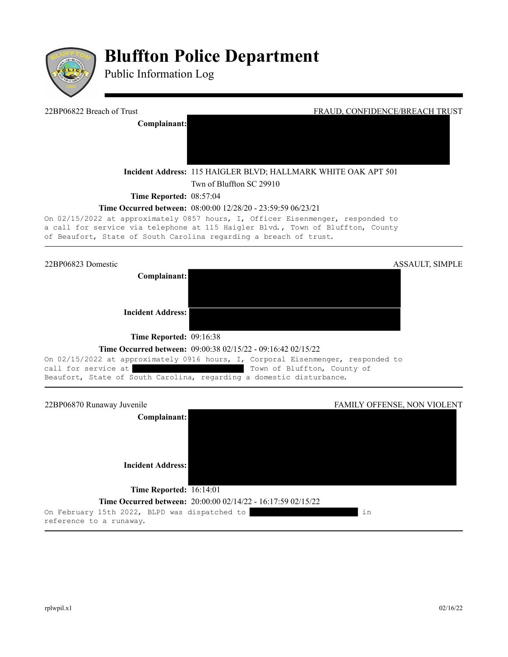

## **Bluffton Police Department**

Public Information Log



**Time Occurred between:** 08:00:00 12/28/20 - 23:59:59 06/23/21

On 02/15/2022 at approximately 0857 hours, I, Officer Eisenmenger, responded to a call for service via telephone at 115 Haigler Blvd., Town of Bluffton, County of Beaufort, State of South Carolina regarding a breach of trust.

22BP06823 Domestic ASSAULT, SIMPLE

**Complainant:**

**Incident Address:** 

**Time Reported: 09:16:38** 

## **Time Occurred between:** 09:00:38 02/15/22 - 09:16:42 02/15/22

On 02/15/2022 at approximately 0916 hours, I, Corporal Eisenmenger, responded to call for service at  $\qquad \qquad$  Town of Bluffton, County of Beaufort, State of South Carolina, regarding a domestic disturbance.